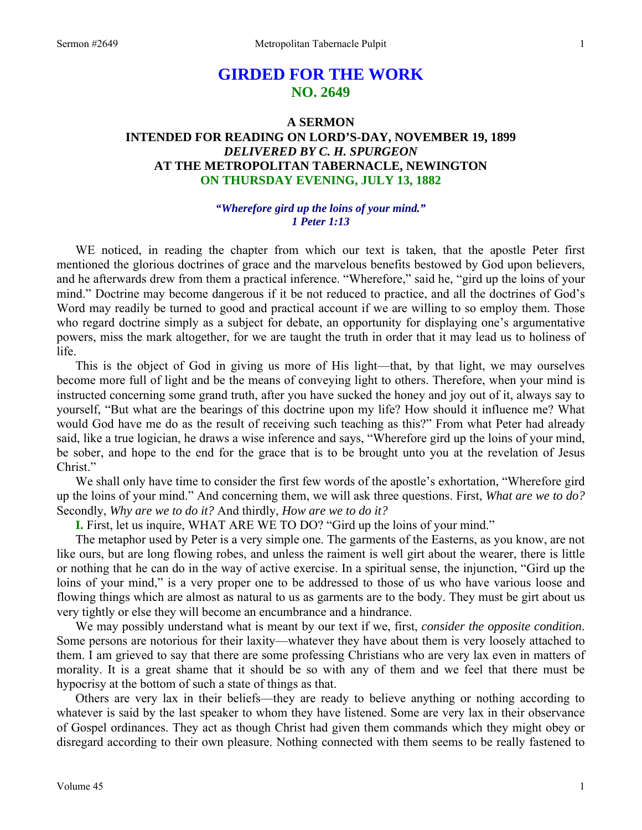# **GIRDED FOR THE WORK NO. 2649**

# **A SERMON INTENDED FOR READING ON LORD'S-DAY, NOVEMBER 19, 1899**  *DELIVERED BY C. H. SPURGEON*  **AT THE METROPOLITAN TABERNACLE, NEWINGTON ON THURSDAY EVENING, JULY 13, 1882**

## *"Wherefore gird up the loins of your mind." 1 Peter 1:13*

WE noticed, in reading the chapter from which our text is taken, that the apostle Peter first mentioned the glorious doctrines of grace and the marvelous benefits bestowed by God upon believers, and he afterwards drew from them a practical inference. "Wherefore," said he, "gird up the loins of your mind." Doctrine may become dangerous if it be not reduced to practice, and all the doctrines of God's Word may readily be turned to good and practical account if we are willing to so employ them. Those who regard doctrine simply as a subject for debate, an opportunity for displaying one's argumentative powers, miss the mark altogether, for we are taught the truth in order that it may lead us to holiness of life.

 This is the object of God in giving us more of His light—that, by that light, we may ourselves become more full of light and be the means of conveying light to others. Therefore, when your mind is instructed concerning some grand truth, after you have sucked the honey and joy out of it, always say to yourself, "But what are the bearings of this doctrine upon my life? How should it influence me? What would God have me do as the result of receiving such teaching as this?" From what Peter had already said, like a true logician, he draws a wise inference and says, "Wherefore gird up the loins of your mind, be sober, and hope to the end for the grace that is to be brought unto you at the revelation of Jesus Christ."

 We shall only have time to consider the first few words of the apostle's exhortation, "Wherefore gird up the loins of your mind." And concerning them, we will ask three questions. First, *What are we to do?*  Secondly, *Why are we to do it?* And thirdly, *How are we to do it?* 

**I.** First, let us inquire, WHAT ARE WE TO DO? "Gird up the loins of your mind."

 The metaphor used by Peter is a very simple one. The garments of the Easterns, as you know, are not like ours, but are long flowing robes, and unless the raiment is well girt about the wearer, there is little or nothing that he can do in the way of active exercise. In a spiritual sense, the injunction, "Gird up the loins of your mind," is a very proper one to be addressed to those of us who have various loose and flowing things which are almost as natural to us as garments are to the body. They must be girt about us very tightly or else they will become an encumbrance and a hindrance.

 We may possibly understand what is meant by our text if we, first, *consider the opposite condition*. Some persons are notorious for their laxity—whatever they have about them is very loosely attached to them. I am grieved to say that there are some professing Christians who are very lax even in matters of morality. It is a great shame that it should be so with any of them and we feel that there must be hypocrisy at the bottom of such a state of things as that.

 Others are very lax in their beliefs—they are ready to believe anything or nothing according to whatever is said by the last speaker to whom they have listened. Some are very lax in their observance of Gospel ordinances. They act as though Christ had given them commands which they might obey or disregard according to their own pleasure. Nothing connected with them seems to be really fastened to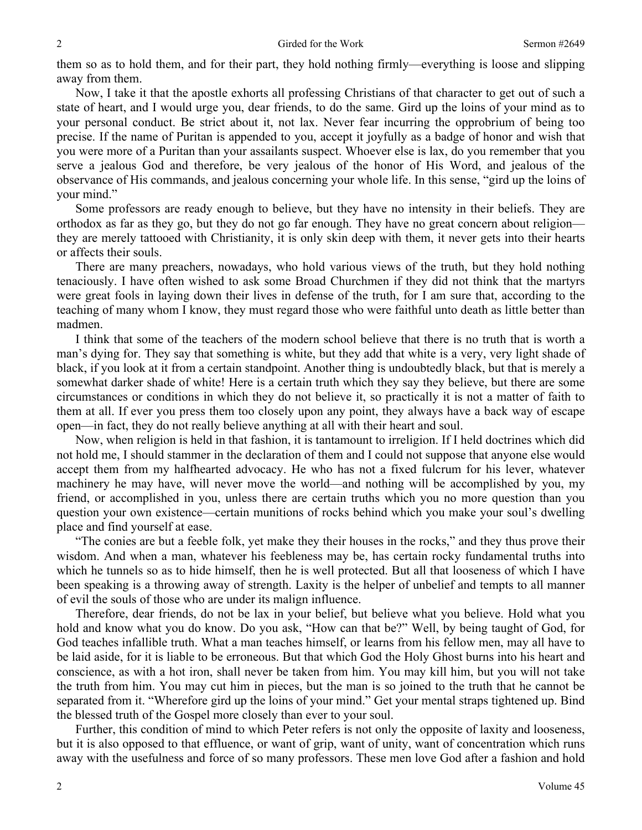them so as to hold them, and for their part, they hold nothing firmly—everything is loose and slipping away from them.

 Now, I take it that the apostle exhorts all professing Christians of that character to get out of such a state of heart, and I would urge you, dear friends, to do the same. Gird up the loins of your mind as to your personal conduct. Be strict about it, not lax. Never fear incurring the opprobrium of being too precise. If the name of Puritan is appended to you, accept it joyfully as a badge of honor and wish that you were more of a Puritan than your assailants suspect. Whoever else is lax, do you remember that you serve a jealous God and therefore, be very jealous of the honor of His Word, and jealous of the observance of His commands, and jealous concerning your whole life. In this sense, "gird up the loins of your mind."

 Some professors are ready enough to believe, but they have no intensity in their beliefs. They are orthodox as far as they go, but they do not go far enough. They have no great concern about religion they are merely tattooed with Christianity, it is only skin deep with them, it never gets into their hearts or affects their souls.

 There are many preachers, nowadays, who hold various views of the truth, but they hold nothing tenaciously. I have often wished to ask some Broad Churchmen if they did not think that the martyrs were great fools in laying down their lives in defense of the truth, for I am sure that, according to the teaching of many whom I know, they must regard those who were faithful unto death as little better than madmen.

 I think that some of the teachers of the modern school believe that there is no truth that is worth a man's dying for. They say that something is white, but they add that white is a very, very light shade of black, if you look at it from a certain standpoint. Another thing is undoubtedly black, but that is merely a somewhat darker shade of white! Here is a certain truth which they say they believe, but there are some circumstances or conditions in which they do not believe it, so practically it is not a matter of faith to them at all. If ever you press them too closely upon any point, they always have a back way of escape open—in fact, they do not really believe anything at all with their heart and soul.

 Now, when religion is held in that fashion, it is tantamount to irreligion. If I held doctrines which did not hold me, I should stammer in the declaration of them and I could not suppose that anyone else would accept them from my halfhearted advocacy. He who has not a fixed fulcrum for his lever, whatever machinery he may have, will never move the world—and nothing will be accomplished by you, my friend, or accomplished in you, unless there are certain truths which you no more question than you question your own existence—certain munitions of rocks behind which you make your soul's dwelling place and find yourself at ease.

 "The conies are but a feeble folk, yet make they their houses in the rocks," and they thus prove their wisdom. And when a man, whatever his feebleness may be, has certain rocky fundamental truths into which he tunnels so as to hide himself, then he is well protected. But all that looseness of which I have been speaking is a throwing away of strength. Laxity is the helper of unbelief and tempts to all manner of evil the souls of those who are under its malign influence.

 Therefore, dear friends, do not be lax in your belief, but believe what you believe. Hold what you hold and know what you do know. Do you ask, "How can that be?" Well, by being taught of God, for God teaches infallible truth. What a man teaches himself, or learns from his fellow men, may all have to be laid aside, for it is liable to be erroneous. But that which God the Holy Ghost burns into his heart and conscience, as with a hot iron, shall never be taken from him. You may kill him, but you will not take the truth from him. You may cut him in pieces, but the man is so joined to the truth that he cannot be separated from it. "Wherefore gird up the loins of your mind." Get your mental straps tightened up. Bind the blessed truth of the Gospel more closely than ever to your soul.

 Further, this condition of mind to which Peter refers is not only the opposite of laxity and looseness, but it is also opposed to that effluence, or want of grip, want of unity, want of concentration which runs away with the usefulness and force of so many professors. These men love God after a fashion and hold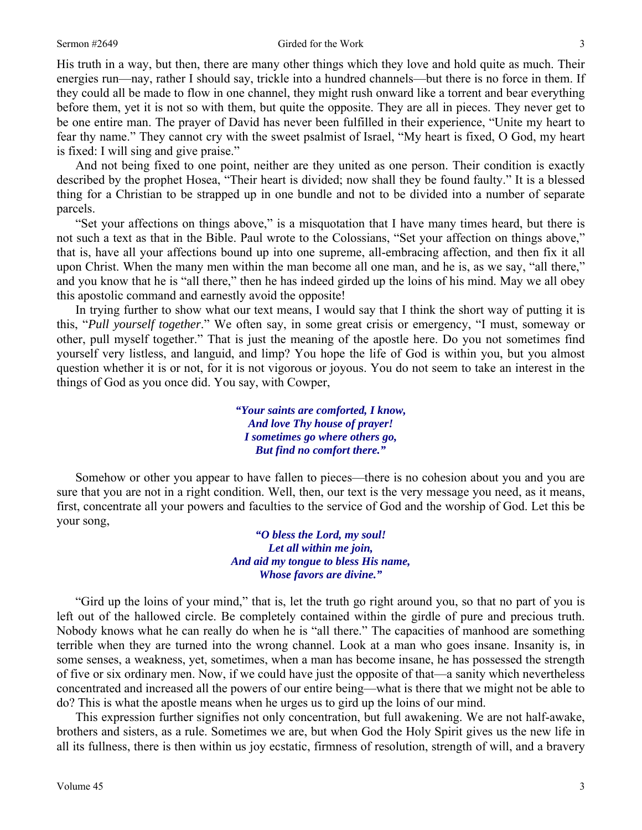His truth in a way, but then, there are many other things which they love and hold quite as much. Their energies run—nay, rather I should say, trickle into a hundred channels—but there is no force in them. If they could all be made to flow in one channel, they might rush onward like a torrent and bear everything before them, yet it is not so with them, but quite the opposite. They are all in pieces. They never get to be one entire man. The prayer of David has never been fulfilled in their experience, "Unite my heart to fear thy name." They cannot cry with the sweet psalmist of Israel, "My heart is fixed, O God, my heart is fixed: I will sing and give praise."

 And not being fixed to one point, neither are they united as one person. Their condition is exactly described by the prophet Hosea, "Their heart is divided; now shall they be found faulty." It is a blessed thing for a Christian to be strapped up in one bundle and not to be divided into a number of separate parcels.

 "Set your affections on things above," is a misquotation that I have many times heard, but there is not such a text as that in the Bible. Paul wrote to the Colossians, "Set your affection on things above," that is, have all your affections bound up into one supreme, all-embracing affection, and then fix it all upon Christ. When the many men within the man become all one man, and he is, as we say, "all there," and you know that he is "all there," then he has indeed girded up the loins of his mind. May we all obey this apostolic command and earnestly avoid the opposite!

 In trying further to show what our text means, I would say that I think the short way of putting it is this, "*Pull yourself together*." We often say, in some great crisis or emergency, "I must, someway or other, pull myself together." That is just the meaning of the apostle here. Do you not sometimes find yourself very listless, and languid, and limp? You hope the life of God is within you, but you almost question whether it is or not, for it is not vigorous or joyous. You do not seem to take an interest in the things of God as you once did. You say, with Cowper,

> *"Your saints are comforted, I know, And love Thy house of prayer! I sometimes go where others go, But find no comfort there."*

 Somehow or other you appear to have fallen to pieces—there is no cohesion about you and you are sure that you are not in a right condition. Well, then, our text is the very message you need, as it means, first, concentrate all your powers and faculties to the service of God and the worship of God. Let this be your song,

*"O bless the Lord, my soul! Let all within me join, And aid my tongue to bless His name, Whose favors are divine."* 

"Gird up the loins of your mind," that is, let the truth go right around you, so that no part of you is left out of the hallowed circle. Be completely contained within the girdle of pure and precious truth. Nobody knows what he can really do when he is "all there." The capacities of manhood are something terrible when they are turned into the wrong channel. Look at a man who goes insane. Insanity is, in some senses, a weakness, yet, sometimes, when a man has become insane, he has possessed the strength of five or six ordinary men. Now, if we could have just the opposite of that—a sanity which nevertheless concentrated and increased all the powers of our entire being—what is there that we might not be able to do? This is what the apostle means when he urges us to gird up the loins of our mind.

 This expression further signifies not only concentration, but full awakening. We are not half-awake, brothers and sisters, as a rule. Sometimes we are, but when God the Holy Spirit gives us the new life in all its fullness, there is then within us joy ecstatic, firmness of resolution, strength of will, and a bravery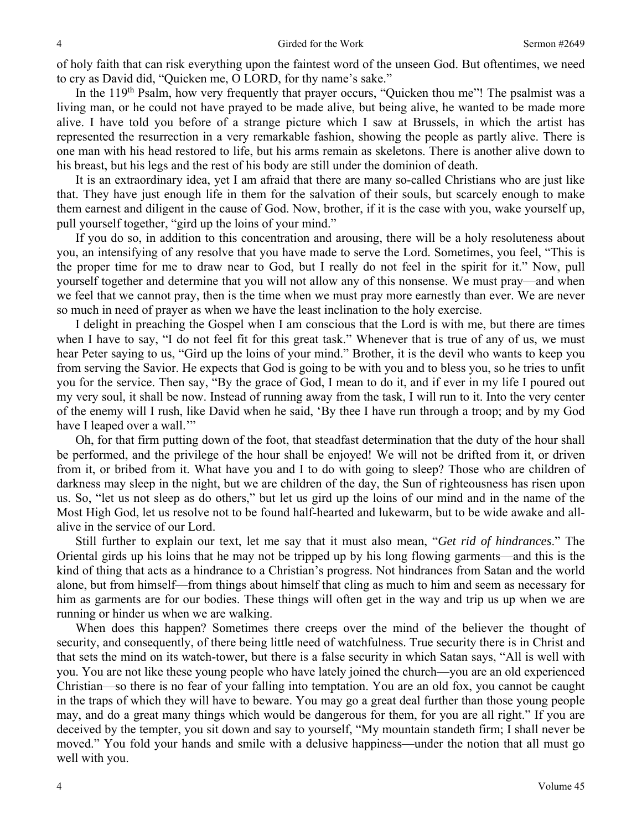of holy faith that can risk everything upon the faintest word of the unseen God. But oftentimes, we need to cry as David did, "Quicken me, O LORD, for thy name's sake."

In the 119<sup>th</sup> Psalm, how very frequently that prayer occurs, "Quicken thou me"! The psalmist was a living man, or he could not have prayed to be made alive, but being alive, he wanted to be made more alive. I have told you before of a strange picture which I saw at Brussels, in which the artist has represented the resurrection in a very remarkable fashion, showing the people as partly alive. There is one man with his head restored to life, but his arms remain as skeletons. There is another alive down to his breast, but his legs and the rest of his body are still under the dominion of death.

 It is an extraordinary idea, yet I am afraid that there are many so-called Christians who are just like that. They have just enough life in them for the salvation of their souls, but scarcely enough to make them earnest and diligent in the cause of God. Now, brother, if it is the case with you, wake yourself up, pull yourself together, "gird up the loins of your mind."

 If you do so, in addition to this concentration and arousing, there will be a holy resoluteness about you, an intensifying of any resolve that you have made to serve the Lord. Sometimes, you feel, "This is the proper time for me to draw near to God, but I really do not feel in the spirit for it." Now, pull yourself together and determine that you will not allow any of this nonsense. We must pray—and when we feel that we cannot pray, then is the time when we must pray more earnestly than ever. We are never so much in need of prayer as when we have the least inclination to the holy exercise.

 I delight in preaching the Gospel when I am conscious that the Lord is with me, but there are times when I have to say, "I do not feel fit for this great task." Whenever that is true of any of us, we must hear Peter saying to us, "Gird up the loins of your mind." Brother, it is the devil who wants to keep you from serving the Savior. He expects that God is going to be with you and to bless you, so he tries to unfit you for the service. Then say, "By the grace of God, I mean to do it, and if ever in my life I poured out my very soul, it shall be now. Instead of running away from the task, I will run to it. Into the very center of the enemy will I rush, like David when he said, 'By thee I have run through a troop; and by my God have I leaped over a wall."

 Oh, for that firm putting down of the foot, that steadfast determination that the duty of the hour shall be performed, and the privilege of the hour shall be enjoyed! We will not be drifted from it, or driven from it, or bribed from it. What have you and I to do with going to sleep? Those who are children of darkness may sleep in the night, but we are children of the day, the Sun of righteousness has risen upon us. So, "let us not sleep as do others," but let us gird up the loins of our mind and in the name of the Most High God, let us resolve not to be found half-hearted and lukewarm, but to be wide awake and allalive in the service of our Lord.

 Still further to explain our text, let me say that it must also mean, "*Get rid of hindrances*." The Oriental girds up his loins that he may not be tripped up by his long flowing garments—and this is the kind of thing that acts as a hindrance to a Christian's progress. Not hindrances from Satan and the world alone, but from himself—from things about himself that cling as much to him and seem as necessary for him as garments are for our bodies. These things will often get in the way and trip us up when we are running or hinder us when we are walking.

 When does this happen? Sometimes there creeps over the mind of the believer the thought of security, and consequently, of there being little need of watchfulness. True security there is in Christ and that sets the mind on its watch-tower, but there is a false security in which Satan says, "All is well with you. You are not like these young people who have lately joined the church—you are an old experienced Christian—so there is no fear of your falling into temptation. You are an old fox, you cannot be caught in the traps of which they will have to beware. You may go a great deal further than those young people may, and do a great many things which would be dangerous for them, for you are all right." If you are deceived by the tempter, you sit down and say to yourself, "My mountain standeth firm; I shall never be moved." You fold your hands and smile with a delusive happiness—under the notion that all must go well with you.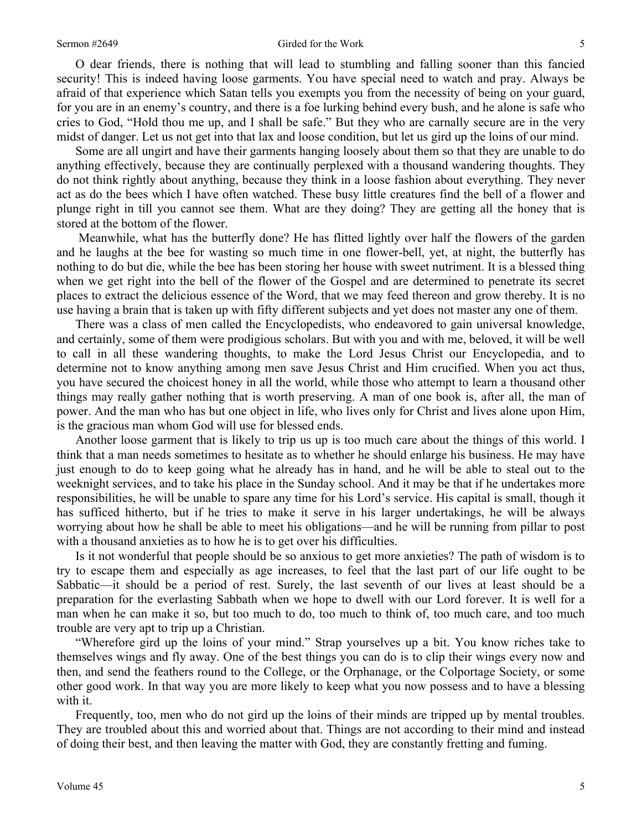### Sermon #2649 Girded for the Work 5

 O dear friends, there is nothing that will lead to stumbling and falling sooner than this fancied security! This is indeed having loose garments. You have special need to watch and pray. Always be afraid of that experience which Satan tells you exempts you from the necessity of being on your guard, for you are in an enemy's country, and there is a foe lurking behind every bush, and he alone is safe who cries to God, "Hold thou me up, and I shall be safe." But they who are carnally secure are in the very midst of danger. Let us not get into that lax and loose condition, but let us gird up the loins of our mind.

 Some are all ungirt and have their garments hanging loosely about them so that they are unable to do anything effectively, because they are continually perplexed with a thousand wandering thoughts. They do not think rightly about anything, because they think in a loose fashion about everything. They never act as do the bees which I have often watched. These busy little creatures find the bell of a flower and plunge right in till you cannot see them. What are they doing? They are getting all the honey that is stored at the bottom of the flower.

 Meanwhile, what has the butterfly done? He has flitted lightly over half the flowers of the garden and he laughs at the bee for wasting so much time in one flower-bell, yet, at night, the butterfly has nothing to do but die, while the bee has been storing her house with sweet nutriment. It is a blessed thing when we get right into the bell of the flower of the Gospel and are determined to penetrate its secret places to extract the delicious essence of the Word, that we may feed thereon and grow thereby. It is no use having a brain that is taken up with fifty different subjects and yet does not master any one of them.

 There was a class of men called the Encyclopedists, who endeavored to gain universal knowledge, and certainly, some of them were prodigious scholars. But with you and with me, beloved, it will be well to call in all these wandering thoughts, to make the Lord Jesus Christ our Encyclopedia, and to determine not to know anything among men save Jesus Christ and Him crucified. When you act thus, you have secured the choicest honey in all the world, while those who attempt to learn a thousand other things may really gather nothing that is worth preserving. A man of one book is, after all, the man of power. And the man who has but one object in life, who lives only for Christ and lives alone upon Him, is the gracious man whom God will use for blessed ends.

 Another loose garment that is likely to trip us up is too much care about the things of this world. I think that a man needs sometimes to hesitate as to whether he should enlarge his business. He may have just enough to do to keep going what he already has in hand, and he will be able to steal out to the weeknight services, and to take his place in the Sunday school. And it may be that if he undertakes more responsibilities, he will be unable to spare any time for his Lord's service. His capital is small, though it has sufficed hitherto, but if he tries to make it serve in his larger undertakings, he will be always worrying about how he shall be able to meet his obligations—and he will be running from pillar to post with a thousand anxieties as to how he is to get over his difficulties.

 Is it not wonderful that people should be so anxious to get more anxieties? The path of wisdom is to try to escape them and especially as age increases, to feel that the last part of our life ought to be Sabbatic—it should be a period of rest. Surely, the last seventh of our lives at least should be a preparation for the everlasting Sabbath when we hope to dwell with our Lord forever. It is well for a man when he can make it so, but too much to do, too much to think of, too much care, and too much trouble are very apt to trip up a Christian.

 "Wherefore gird up the loins of your mind." Strap yourselves up a bit. You know riches take to themselves wings and fly away. One of the best things you can do is to clip their wings every now and then, and send the feathers round to the College, or the Orphanage, or the Colportage Society, or some other good work. In that way you are more likely to keep what you now possess and to have a blessing with it.

 Frequently, too, men who do not gird up the loins of their minds are tripped up by mental troubles. They are troubled about this and worried about that. Things are not according to their mind and instead of doing their best, and then leaving the matter with God, they are constantly fretting and fuming.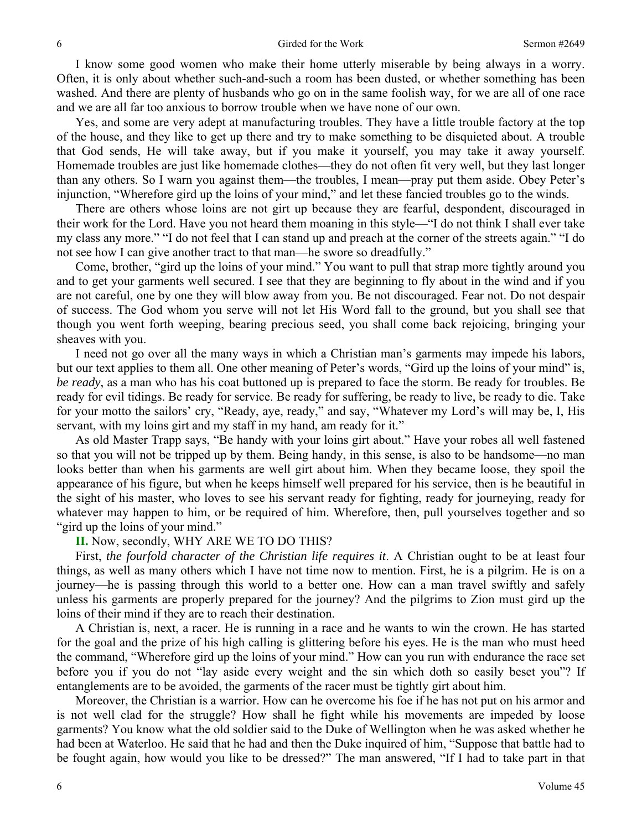I know some good women who make their home utterly miserable by being always in a worry. Often, it is only about whether such-and-such a room has been dusted, or whether something has been washed. And there are plenty of husbands who go on in the same foolish way, for we are all of one race and we are all far too anxious to borrow trouble when we have none of our own.

 Yes, and some are very adept at manufacturing troubles. They have a little trouble factory at the top of the house, and they like to get up there and try to make something to be disquieted about. A trouble that God sends, He will take away, but if you make it yourself, you may take it away yourself. Homemade troubles are just like homemade clothes—they do not often fit very well, but they last longer than any others. So I warn you against them—the troubles, I mean—pray put them aside. Obey Peter's injunction, "Wherefore gird up the loins of your mind," and let these fancied troubles go to the winds.

 There are others whose loins are not girt up because they are fearful, despondent, discouraged in their work for the Lord. Have you not heard them moaning in this style—"I do not think I shall ever take my class any more." "I do not feel that I can stand up and preach at the corner of the streets again." "I do not see how I can give another tract to that man—he swore so dreadfully."

 Come, brother, "gird up the loins of your mind." You want to pull that strap more tightly around you and to get your garments well secured. I see that they are beginning to fly about in the wind and if you are not careful, one by one they will blow away from you. Be not discouraged. Fear not. Do not despair of success. The God whom you serve will not let His Word fall to the ground, but you shall see that though you went forth weeping, bearing precious seed, you shall come back rejoicing, bringing your sheaves with you.

 I need not go over all the many ways in which a Christian man's garments may impede his labors, but our text applies to them all. One other meaning of Peter's words, "Gird up the loins of your mind" is, *be ready*, as a man who has his coat buttoned up is prepared to face the storm. Be ready for troubles. Be ready for evil tidings. Be ready for service. Be ready for suffering, be ready to live, be ready to die. Take for your motto the sailors' cry, "Ready, aye, ready," and say, "Whatever my Lord's will may be, I, His servant, with my loins girt and my staff in my hand, am ready for it."

 As old Master Trapp says, "Be handy with your loins girt about." Have your robes all well fastened so that you will not be tripped up by them. Being handy, in this sense, is also to be handsome—no man looks better than when his garments are well girt about him. When they became loose, they spoil the appearance of his figure, but when he keeps himself well prepared for his service, then is he beautiful in the sight of his master, who loves to see his servant ready for fighting, ready for journeying, ready for whatever may happen to him, or be required of him. Wherefore, then, pull yourselves together and so "gird up the loins of your mind."

### **II.** Now, secondly, WHY ARE WE TO DO THIS?

 First, *the fourfold character of the Christian life requires it*. A Christian ought to be at least four things, as well as many others which I have not time now to mention. First, he is a pilgrim. He is on a journey—he is passing through this world to a better one. How can a man travel swiftly and safely unless his garments are properly prepared for the journey? And the pilgrims to Zion must gird up the loins of their mind if they are to reach their destination.

 A Christian is, next, a racer. He is running in a race and he wants to win the crown. He has started for the goal and the prize of his high calling is glittering before his eyes. He is the man who must heed the command, "Wherefore gird up the loins of your mind." How can you run with endurance the race set before you if you do not "lay aside every weight and the sin which doth so easily beset you"? If entanglements are to be avoided, the garments of the racer must be tightly girt about him.

 Moreover, the Christian is a warrior. How can he overcome his foe if he has not put on his armor and is not well clad for the struggle? How shall he fight while his movements are impeded by loose garments? You know what the old soldier said to the Duke of Wellington when he was asked whether he had been at Waterloo. He said that he had and then the Duke inquired of him, "Suppose that battle had to be fought again, how would you like to be dressed?" The man answered, "If I had to take part in that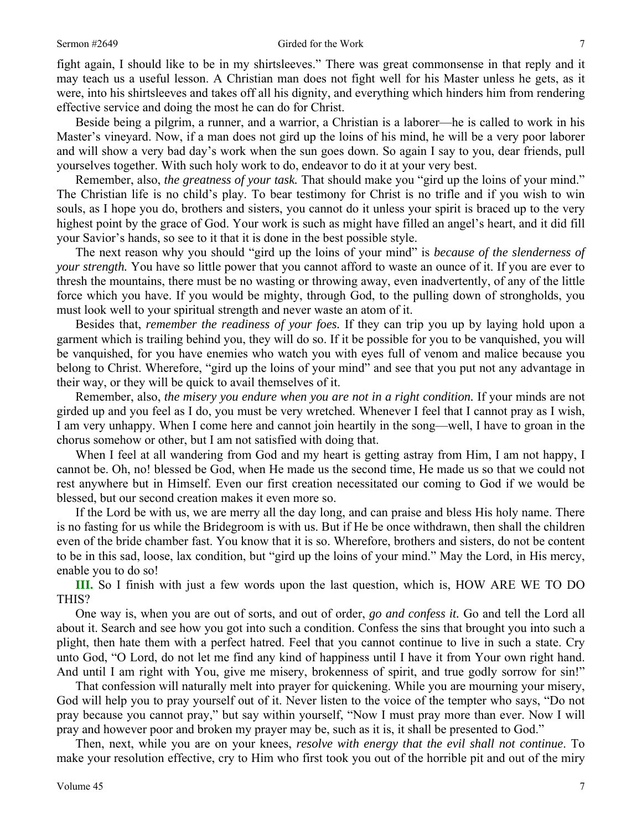fight again, I should like to be in my shirtsleeves." There was great commonsense in that reply and it may teach us a useful lesson. A Christian man does not fight well for his Master unless he gets, as it were, into his shirtsleeves and takes off all his dignity, and everything which hinders him from rendering effective service and doing the most he can do for Christ.

 Beside being a pilgrim, a runner, and a warrior, a Christian is a laborer—he is called to work in his Master's vineyard. Now, if a man does not gird up the loins of his mind, he will be a very poor laborer and will show a very bad day's work when the sun goes down. So again I say to you, dear friends, pull yourselves together. With such holy work to do, endeavor to do it at your very best.

 Remember, also, *the greatness of your task.* That should make you "gird up the loins of your mind." The Christian life is no child's play. To bear testimony for Christ is no trifle and if you wish to win souls, as I hope you do, brothers and sisters, you cannot do it unless your spirit is braced up to the very highest point by the grace of God. Your work is such as might have filled an angel's heart, and it did fill your Savior's hands, so see to it that it is done in the best possible style.

 The next reason why you should "gird up the loins of your mind" is *because of the slenderness of your strength.* You have so little power that you cannot afford to waste an ounce of it. If you are ever to thresh the mountains, there must be no wasting or throwing away, even inadvertently, of any of the little force which you have. If you would be mighty, through God, to the pulling down of strongholds, you must look well to your spiritual strength and never waste an atom of it.

 Besides that, *remember the readiness of your foes.* If they can trip you up by laying hold upon a garment which is trailing behind you, they will do so. If it be possible for you to be vanquished, you will be vanquished, for you have enemies who watch you with eyes full of venom and malice because you belong to Christ. Wherefore, "gird up the loins of your mind" and see that you put not any advantage in their way, or they will be quick to avail themselves of it.

 Remember, also, *the misery you endure when you are not in a right condition.* If your minds are not girded up and you feel as I do, you must be very wretched. Whenever I feel that I cannot pray as I wish, I am very unhappy. When I come here and cannot join heartily in the song—well, I have to groan in the chorus somehow or other, but I am not satisfied with doing that.

 When I feel at all wandering from God and my heart is getting astray from Him, I am not happy, I cannot be. Oh, no! blessed be God, when He made us the second time, He made us so that we could not rest anywhere but in Himself. Even our first creation necessitated our coming to God if we would be blessed, but our second creation makes it even more so.

 If the Lord be with us, we are merry all the day long, and can praise and bless His holy name. There is no fasting for us while the Bridegroom is with us. But if He be once withdrawn, then shall the children even of the bride chamber fast. You know that it is so. Wherefore, brothers and sisters, do not be content to be in this sad, loose, lax condition, but "gird up the loins of your mind." May the Lord, in His mercy, enable you to do so!

**III.** So I finish with just a few words upon the last question, which is, HOW ARE WE TO DO THIS?

 One way is, when you are out of sorts, and out of order, *go and confess it.* Go and tell the Lord all about it. Search and see how you got into such a condition. Confess the sins that brought you into such a plight, then hate them with a perfect hatred. Feel that you cannot continue to live in such a state. Cry unto God, "O Lord, do not let me find any kind of happiness until I have it from Your own right hand. And until I am right with You, give me misery, brokenness of spirit, and true godly sorrow for sin!"

 That confession will naturally melt into prayer for quickening. While you are mourning your misery, God will help you to pray yourself out of it. Never listen to the voice of the tempter who says, "Do not pray because you cannot pray," but say within yourself, "Now I must pray more than ever. Now I will pray and however poor and broken my prayer may be, such as it is, it shall be presented to God."

 Then, next, while you are on your knees, *resolve with energy that the evil shall not continue*. To make your resolution effective, cry to Him who first took you out of the horrible pit and out of the miry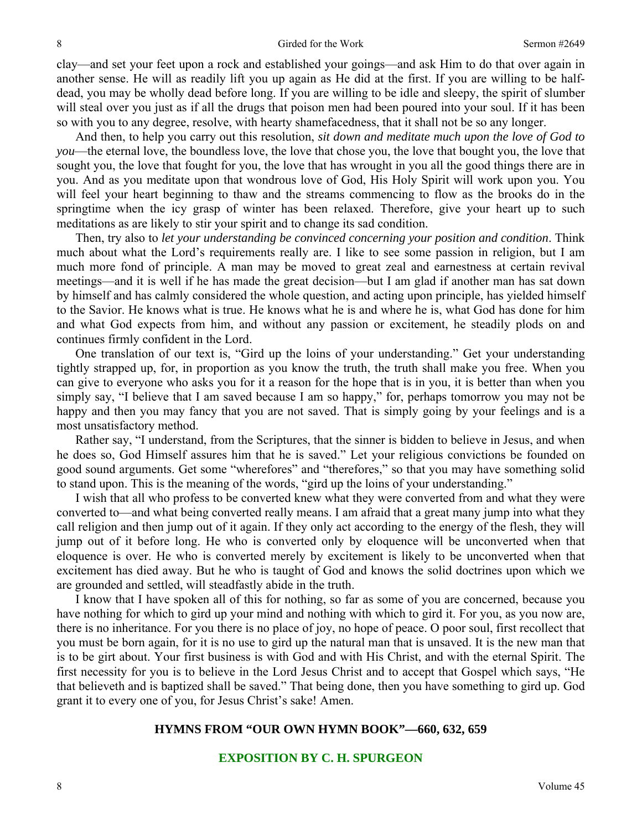clay—and set your feet upon a rock and established your goings—and ask Him to do that over again in another sense. He will as readily lift you up again as He did at the first. If you are willing to be halfdead, you may be wholly dead before long. If you are willing to be idle and sleepy, the spirit of slumber will steal over you just as if all the drugs that poison men had been poured into your soul. If it has been so with you to any degree, resolve, with hearty shamefacedness, that it shall not be so any longer.

 And then, to help you carry out this resolution, *sit down and meditate much upon the love of God to you*—the eternal love, the boundless love, the love that chose you, the love that bought you, the love that sought you, the love that fought for you, the love that has wrought in you all the good things there are in you. And as you meditate upon that wondrous love of God, His Holy Spirit will work upon you. You will feel your heart beginning to thaw and the streams commencing to flow as the brooks do in the springtime when the icy grasp of winter has been relaxed. Therefore, give your heart up to such meditations as are likely to stir your spirit and to change its sad condition.

 Then, try also to *let your understanding be convinced concerning your position and condition*. Think much about what the Lord's requirements really are. I like to see some passion in religion, but I am much more fond of principle. A man may be moved to great zeal and earnestness at certain revival meetings—and it is well if he has made the great decision—but I am glad if another man has sat down by himself and has calmly considered the whole question, and acting upon principle, has yielded himself to the Savior. He knows what is true. He knows what he is and where he is, what God has done for him and what God expects from him, and without any passion or excitement, he steadily plods on and continues firmly confident in the Lord.

 One translation of our text is, "Gird up the loins of your understanding." Get your understanding tightly strapped up, for, in proportion as you know the truth, the truth shall make you free. When you can give to everyone who asks you for it a reason for the hope that is in you, it is better than when you simply say, "I believe that I am saved because I am so happy," for, perhaps tomorrow you may not be happy and then you may fancy that you are not saved. That is simply going by your feelings and is a most unsatisfactory method.

 Rather say, "I understand, from the Scriptures, that the sinner is bidden to believe in Jesus, and when he does so, God Himself assures him that he is saved." Let your religious convictions be founded on good sound arguments. Get some "wherefores" and "therefores," so that you may have something solid to stand upon. This is the meaning of the words, "gird up the loins of your understanding."

 I wish that all who profess to be converted knew what they were converted from and what they were converted to—and what being converted really means. I am afraid that a great many jump into what they call religion and then jump out of it again. If they only act according to the energy of the flesh, they will jump out of it before long. He who is converted only by eloquence will be unconverted when that eloquence is over. He who is converted merely by excitement is likely to be unconverted when that excitement has died away. But he who is taught of God and knows the solid doctrines upon which we are grounded and settled, will steadfastly abide in the truth.

 I know that I have spoken all of this for nothing, so far as some of you are concerned, because you have nothing for which to gird up your mind and nothing with which to gird it. For you, as you now are, there is no inheritance. For you there is no place of joy, no hope of peace. O poor soul, first recollect that you must be born again, for it is no use to gird up the natural man that is unsaved. It is the new man that is to be girt about. Your first business is with God and with His Christ, and with the eternal Spirit. The first necessity for you is to believe in the Lord Jesus Christ and to accept that Gospel which says, "He that believeth and is baptized shall be saved." That being done, then you have something to gird up. God grant it to every one of you, for Jesus Christ's sake! Amen.

### **HYMNS FROM "OUR OWN HYMN BOOK"—660, 632, 659**

### **EXPOSITION BY C. H. SPURGEON**